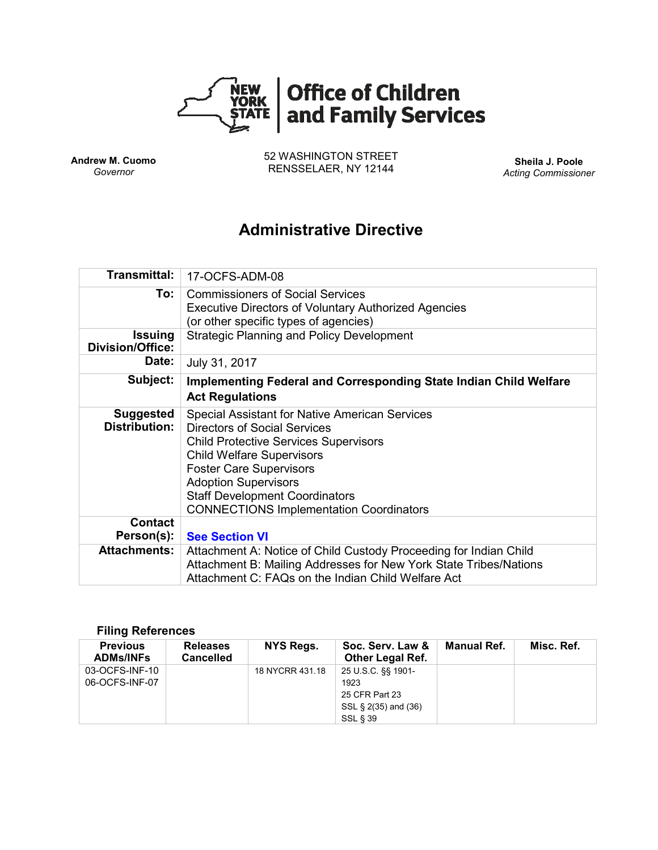

**Andrew M. Cuomo** *Governor*

52 WASHINGTON STREET RENSSELAER, NY 12144 **Sheila J. Poole**

*Acting Commissioner*

# **Administrative Directive**

| <b>Transmittal:</b>                       | 17-OCFS-ADM-08                                                                                                                                                                                                                                                                                                                               |  |  |  |  |
|-------------------------------------------|----------------------------------------------------------------------------------------------------------------------------------------------------------------------------------------------------------------------------------------------------------------------------------------------------------------------------------------------|--|--|--|--|
| To:                                       | <b>Commissioners of Social Services</b><br><b>Executive Directors of Voluntary Authorized Agencies</b>                                                                                                                                                                                                                                       |  |  |  |  |
|                                           | (or other specific types of agencies)                                                                                                                                                                                                                                                                                                        |  |  |  |  |
| <b>Issuing</b><br><b>Division/Office:</b> | <b>Strategic Planning and Policy Development</b>                                                                                                                                                                                                                                                                                             |  |  |  |  |
| Date:                                     | July 31, 2017                                                                                                                                                                                                                                                                                                                                |  |  |  |  |
| Subject:                                  | <b>Implementing Federal and Corresponding State Indian Child Welfare</b><br><b>Act Regulations</b>                                                                                                                                                                                                                                           |  |  |  |  |
| <b>Suggested</b><br><b>Distribution:</b>  | <b>Special Assistant for Native American Services</b><br><b>Directors of Social Services</b><br><b>Child Protective Services Supervisors</b><br><b>Child Welfare Supervisors</b><br><b>Foster Care Supervisors</b><br><b>Adoption Supervisors</b><br><b>Staff Development Coordinators</b><br><b>CONNECTIONS Implementation Coordinators</b> |  |  |  |  |
| <b>Contact</b><br>Person(s):              | <b>See Section VI</b>                                                                                                                                                                                                                                                                                                                        |  |  |  |  |
| <b>Attachments:</b>                       |                                                                                                                                                                                                                                                                                                                                              |  |  |  |  |
|                                           | Attachment A: Notice of Child Custody Proceeding for Indian Child<br>Attachment B: Mailing Addresses for New York State Tribes/Nations<br>Attachment C: FAQs on the Indian Child Welfare Act                                                                                                                                                 |  |  |  |  |

#### **Filing References**

| <b>Previous</b><br><b>ADMs/INFs</b> | <b>Releases</b><br><b>Cancelled</b> | NYS Regs.       | Soc. Serv. Law &<br><b>Other Legal Ref.</b> | Manual Ref. | Misc. Ref. |
|-------------------------------------|-------------------------------------|-----------------|---------------------------------------------|-------------|------------|
| 03-OCFS-INF-10                      |                                     | 18 NYCRR 431.18 | 25 U.S.C. §§ 1901-                          |             |            |
| 06-OCFS-INF-07                      |                                     |                 | 1923                                        |             |            |
|                                     |                                     |                 | 25 CFR Part 23                              |             |            |
|                                     |                                     |                 | SSL § 2(35) and (36)                        |             |            |
|                                     |                                     |                 | SSL § 39                                    |             |            |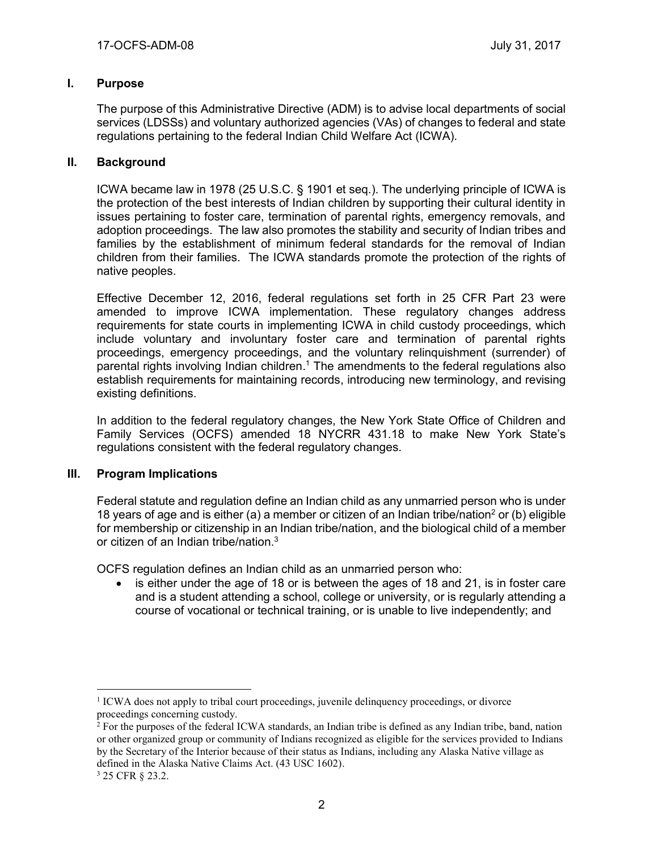### **I. Purpose**

The purpose of this Administrative Directive (ADM) is to advise local departments of social services (LDSSs) and voluntary authorized agencies (VAs) of changes to federal and state regulations pertaining to the federal Indian Child Welfare Act (ICWA).

## **II. Background**

ICWA became law in 1978 (25 U.S.C. § 1901 et seq.). The underlying principle of ICWA is the protection of the best interests of Indian children by supporting their cultural identity in issues pertaining to foster care, termination of parental rights, emergency removals, and adoption proceedings. The law also promotes the stability and security of Indian tribes and families by the establishment of minimum federal standards for the removal of Indian children from their families. The ICWA standards promote the protection of the rights of native peoples.

Effective December 12, 2016, federal regulations set forth in 25 CFR Part 23 were amended to improve ICWA implementation. These regulatory changes address requirements for state courts in implementing ICWA in child custody proceedings, which include voluntary and involuntary foster care and termination of parental rights proceedings, emergency proceedings, and the voluntary relinquishment (surrender) of parental rights involving Indian children. <sup>1</sup> The amendments to the federal regulations also establish requirements for maintaining records, introducing new terminology, and revising existing definitions.

In addition to the federal regulatory changes, the New York State Office of Children and Family Services (OCFS) amended 18 NYCRR 431.18 to make New York State's regulations consistent with the federal regulatory changes.

#### **III. Program Implications**

Federal statute and regulation define an Indian child as any unmarried person who is under 18 years of age and is either (a) a member or citizen of an Indian tribe/nation<sup>2</sup> or (b) eligible for membership or citizenship in an Indian tribe/nation, and the biological child of a member or citizen of an Indian tribe/nation. 3

OCFS regulation defines an Indian child as an unmarried person who:

• is either under the age of 18 or is between the ages of 18 and 21, is in foster care and is a student attending a school, college or university, or is regularly attending a course of vocational or technical training, or is unable to live independently; and

 $\overline{a}$ <sup>1</sup> ICWA does not apply to tribal court proceedings, juvenile delinquency proceedings, or divorce proceedings concerning custody.

<sup>2</sup> For the purposes of the federal ICWA standards, an Indian tribe is defined as any Indian tribe, band, nation or other organized group or community of Indians recognized as eligible for the services provided to Indians by the Secretary of the Interior because of their status as Indians, including any Alaska Native village as defined in the Alaska Native Claims Act. (43 USC 1602).

<sup>3</sup> 25 CFR § 23.2.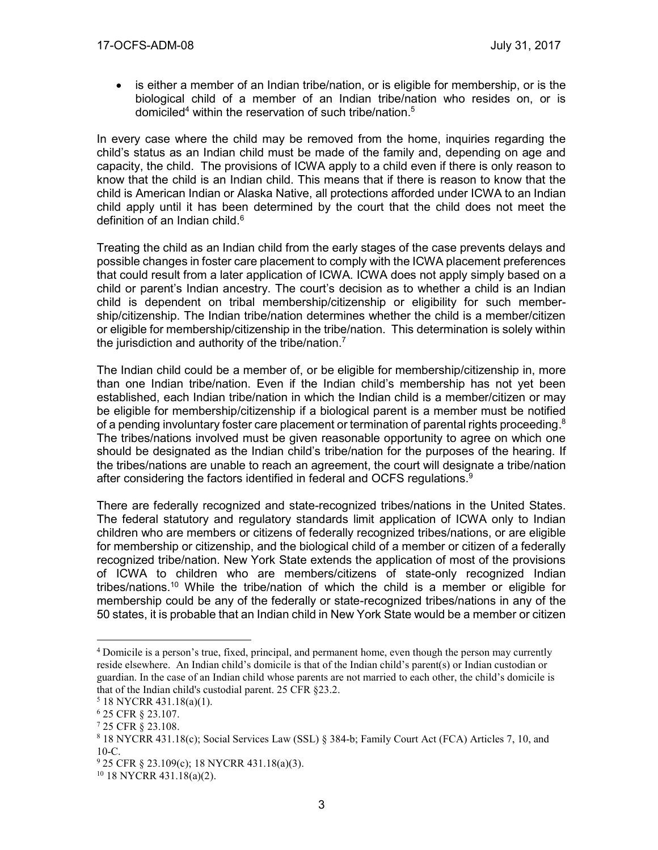• is either a member of an Indian tribe/nation, or is eligible for membership, or is the biological child of a member of an Indian tribe/nation who resides on, or is domiciled<sup>4</sup> within the reservation of such tribe/nation.<sup>5</sup>

In every case where the child may be removed from the home, inquiries regarding the child's status as an Indian child must be made of the family and, depending on age and capacity, the child. The provisions of ICWA apply to a child even if there is only reason to know that the child is an Indian child. This means that if there is reason to know that the child is American Indian or Alaska Native, all protections afforded under ICWA to an Indian child apply until it has been determined by the court that the child does not meet the definition of an Indian child.<sup>6</sup>

Treating the child as an Indian child from the early stages of the case prevents delays and possible changes in foster care placement to comply with the ICWA placement preferences that could result from a later application of ICWA. ICWA does not apply simply based on a child or parent's Indian ancestry. The court's decision as to whether a child is an Indian child is dependent on tribal membership/citizenship or eligibility for such membership/citizenship. The Indian tribe/nation determines whether the child is a member/citizen or eligible for membership/citizenship in the tribe/nation. This determination is solely within the jurisdiction and authority of the tribe/nation.<sup>7</sup>

The Indian child could be a member of, or be eligible for membership/citizenship in, more than one Indian tribe/nation. Even if the Indian child's membership has not yet been established, each Indian tribe/nation in which the Indian child is a member/citizen or may be eligible for membership/citizenship if a biological parent is a member must be notified of a pending involuntary foster care placement or termination of parental rights proceeding.<sup>8</sup> The tribes/nations involved must be given reasonable opportunity to agree on which one should be designated as the Indian child's tribe/nation for the purposes of the hearing. If the tribes/nations are unable to reach an agreement, the court will designate a tribe/nation after considering the factors identified in federal and OCFS regulations.<sup>9</sup>

There are federally recognized and state-recognized tribes/nations in the United States. The federal statutory and regulatory standards limit application of ICWA only to Indian children who are members or citizens of federally recognized tribes/nations, or are eligible for membership or citizenship, and the biological child of a member or citizen of a federally recognized tribe/nation. New York State extends the application of most of the provisions of ICWA to children who are members/citizens of state-only recognized Indian tribes/nations.<sup>10</sup> While the tribe/nation of which the child is a member or eligible for membership could be any of the federally or state-recognized tribes/nations in any of the 50 states, it is probable that an Indian child in New York State would be a member or citizen

<sup>4</sup> Domicile is a person's true, fixed, principal, and permanent home, even though the person may currently reside elsewhere. An Indian child's domicile is that of the Indian child's parent(s) or Indian custodian or guardian. In the case of an Indian child whose parents are not married to each other, the child's domicile is that of the Indian child's custodial parent. 25 CFR §23.2.

<sup>5</sup> 18 NYCRR 431.18(a)(1).

<sup>6</sup> 25 CFR § 23.107.

<sup>7</sup> 25 CFR § 23.108.

<sup>8</sup> 18 NYCRR 431.18(c); Social Services Law (SSL) § 384-b; Family Court Act (FCA) Articles 7, 10, and 10-C.

<sup>9</sup> 25 CFR § 23.109(c); 18 NYCRR 431.18(a)(3).

 $10$  18 NYCRR 431.18(a)(2).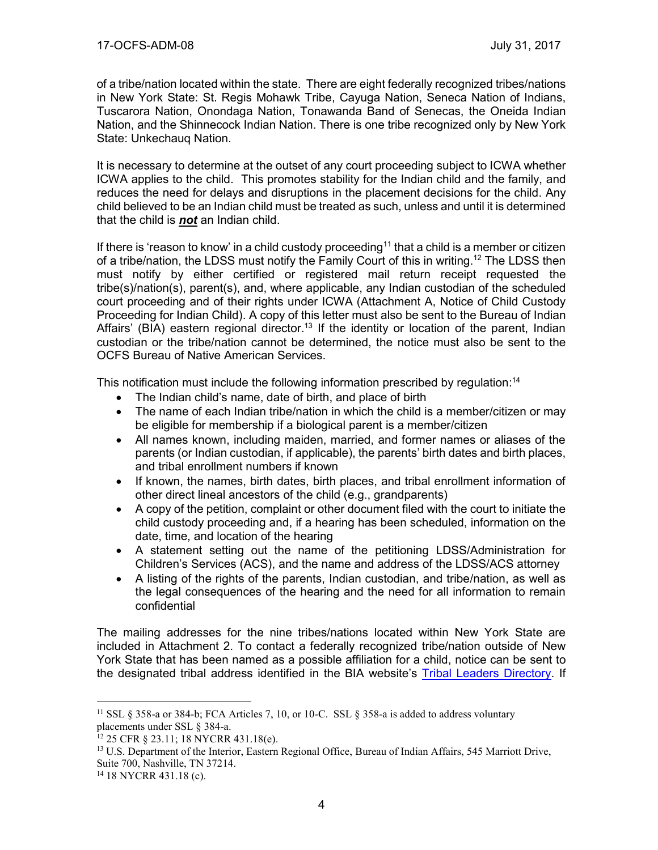of a tribe/nation located within the state. There are eight federally recognized tribes/nations in New York State: St. Regis Mohawk Tribe, Cayuga Nation, Seneca Nation of Indians, Tuscarora Nation, Onondaga Nation, Tonawanda Band of Senecas, the Oneida Indian Nation, and the Shinnecock Indian Nation. There is one tribe recognized only by New York State: Unkechauq Nation.

It is necessary to determine at the outset of any court proceeding subject to ICWA whether ICWA applies to the child. This promotes stability for the Indian child and the family, and reduces the need for delays and disruptions in the placement decisions for the child. Any child believed to be an Indian child must be treated as such, unless and until it is determined that the child is *not* an Indian child.

If there is 'reason to know' in a child custody proceeding<sup>11</sup> that a child is a member or citizen of a tribe/nation, the LDSS must notify the Family Court of this in writing.<sup>12</sup> The LDSS then must notify by either certified or registered mail return receipt requested the tribe(s)/nation(s), parent(s), and, where applicable, any Indian custodian of the scheduled court proceeding and of their rights under ICWA (Attachment A, Notice of Child Custody Proceeding for Indian Child). A copy of this letter must also be sent to the Bureau of Indian Affairs' (BIA) eastern regional director.<sup>13</sup> If the identity or location of the parent, Indian custodian or the tribe/nation cannot be determined, the notice must also be sent to the OCFS Bureau of Native American Services.

This notification must include the following information prescribed by regulation:<sup>14</sup>

- The Indian child's name, date of birth, and place of birth
- The name of each Indian tribe/nation in which the child is a member/citizen or may be eligible for membership if a biological parent is a member/citizen
- All names known, including maiden, married, and former names or aliases of the parents (or Indian custodian, if applicable), the parents' birth dates and birth places, and tribal enrollment numbers if known
- If known, the names, birth dates, birth places, and tribal enrollment information of other direct lineal ancestors of the child (e.g., grandparents)
- A copy of the petition, complaint or other document filed with the court to initiate the child custody proceeding and, if a hearing has been scheduled, information on the date, time, and location of the hearing
- A statement setting out the name of the petitioning LDSS/Administration for Children's Services (ACS), and the name and address of the LDSS/ACS attorney
- A listing of the rights of the parents, Indian custodian, and tribe/nation, as well as the legal consequences of the hearing and the need for all information to remain confidential

The mailing addresses for the nine tribes/nations located within New York State are included in Attachment 2. To contact a federally recognized tribe/nation outside of New York State that has been named as a possible affiliation for a child, notice can be sent to the designated tribal address identified in the BIA website's [Tribal Leaders Directory.](https://www.bia.gov/WhoWeAre/BIA/OIS/TribalGovernmentServices/TribalDirectory/index.htm) If

<sup>&</sup>lt;sup>11</sup> SSL § 358-a or 384-b; FCA Articles 7, 10, or 10-C. SSL § 358-a is added to address voluntary placements under SSL § 384-a.

<sup>12</sup> 25 CFR § 23.11; 18 NYCRR 431.18(e).

<sup>&</sup>lt;sup>13</sup> U.S. Department of the Interior, Eastern Regional Office, Bureau of Indian Affairs, 545 Marriott Drive, Suite 700, Nashville, TN 37214.

<sup>14</sup> 18 NYCRR 431.18 (c).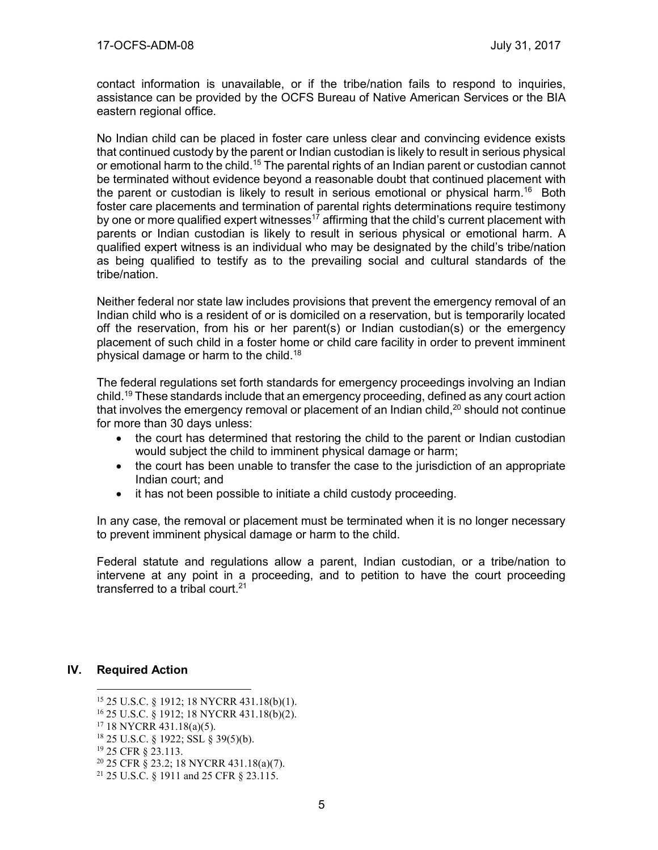contact information is unavailable, or if the tribe/nation fails to respond to inquiries, assistance can be provided by the OCFS Bureau of Native American Services or the BIA eastern regional office.

No Indian child can be placed in foster care unless clear and convincing evidence exists that continued custody by the parent or Indian custodian is likely to result in serious physical or emotional harm to the child.<sup>15</sup> The parental rights of an Indian parent or custodian cannot be terminated without evidence beyond a reasonable doubt that continued placement with the parent or custodian is likely to result in serious emotional or physical harm.<sup>16</sup> Both foster care placements and termination of parental rights determinations require testimony by one or more qualified expert witnesses<sup>17</sup> affirming that the child's current placement with parents or Indian custodian is likely to result in serious physical or emotional harm. A qualified expert witness is an individual who may be designated by the child's tribe/nation as being qualified to testify as to the prevailing social and cultural standards of the tribe/nation.

Neither federal nor state law includes provisions that prevent the emergency removal of an Indian child who is a resident of or is domiciled on a reservation, but is temporarily located off the reservation, from his or her parent(s) or Indian custodian(s) or the emergency placement of such child in a foster home or child care facility in order to prevent imminent physical damage or harm to the child.<sup>18</sup>

The federal regulations set forth standards for emergency proceedings involving an Indian child.<sup>19</sup> These standards include that an emergency proceeding, defined as any court action that involves the emergency removal or placement of an Indian child, $^{20}$  should not continue for more than 30 days unless:

- the court has determined that restoring the child to the parent or Indian custodian would subject the child to imminent physical damage or harm;
- the court has been unable to transfer the case to the jurisdiction of an appropriate Indian court; and
- it has not been possible to initiate a child custody proceeding.

In any case, the removal or placement must be terminated when it is no longer necessary to prevent imminent physical damage or harm to the child.

Federal statute and regulations allow a parent, Indian custodian, or a tribe/nation to intervene at any point in a proceeding, and to petition to have the court proceeding transferred to a tribal court.<sup>21</sup>

#### **IV. Required Action**

<sup>15</sup> 25 U.S.C. § 1912; 18 NYCRR 431.18(b)(1).

<sup>16</sup> 25 U.S.C. § 1912; 18 NYCRR 431.18(b)(2).

<sup>17</sup> 18 NYCRR 431.18(a)(5).

<sup>18</sup> 25 U.S.C. § 1922; SSL § 39(5)(b).

<sup>19</sup> 25 CFR § 23.113.

<sup>20</sup> 25 CFR § 23.2; 18 NYCRR 431.18(a)(7).

<sup>21</sup> 25 U.S.C. § 1911 and 25 CFR § 23.115.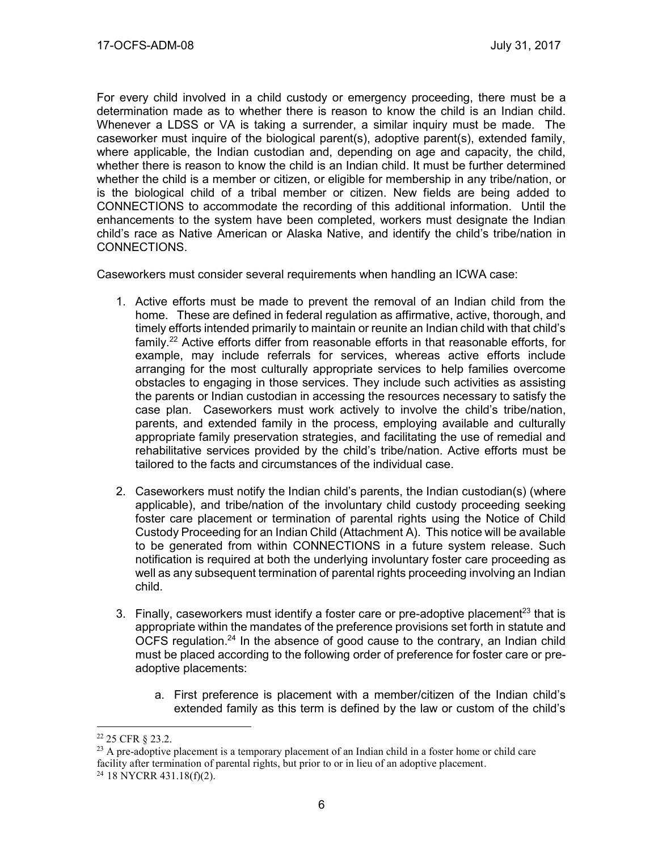For every child involved in a child custody or emergency proceeding, there must be a determination made as to whether there is reason to know the child is an Indian child. Whenever a LDSS or VA is taking a surrender, a similar inquiry must be made. The caseworker must inquire of the biological parent(s), adoptive parent(s), extended family, where applicable, the Indian custodian and, depending on age and capacity, the child, whether there is reason to know the child is an Indian child. It must be further determined whether the child is a member or citizen, or eligible for membership in any tribe/nation, or is the biological child of a tribal member or citizen. New fields are being added to CONNECTIONS to accommodate the recording of this additional information. Until the enhancements to the system have been completed, workers must designate the Indian child's race as Native American or Alaska Native, and identify the child's tribe/nation in CONNECTIONS.

Caseworkers must consider several requirements when handling an ICWA case:

- 1. Active efforts must be made to prevent the removal of an Indian child from the home. These are defined in federal regulation as affirmative, active, thorough, and timely efforts intended primarily to maintain or reunite an Indian child with that child's family.<sup>22</sup> Active efforts differ from reasonable efforts in that reasonable efforts, for example, may include referrals for services, whereas active efforts include arranging for the most culturally appropriate services to help families overcome obstacles to engaging in those services. They include such activities as assisting the parents or Indian custodian in accessing the resources necessary to satisfy the case plan. Caseworkers must work actively to involve the child's tribe/nation, parents, and extended family in the process, employing available and culturally appropriate family preservation strategies, and facilitating the use of remedial and rehabilitative services provided by the child's tribe/nation. Active efforts must be tailored to the facts and circumstances of the individual case.
- 2. Caseworkers must notify the Indian child's parents, the Indian custodian(s) (where applicable), and tribe/nation of the involuntary child custody proceeding seeking foster care placement or termination of parental rights using the Notice of Child Custody Proceeding for an Indian Child (Attachment A). This notice will be available to be generated from within CONNECTIONS in a future system release. Such notification is required at both the underlying involuntary foster care proceeding as well as any subsequent termination of parental rights proceeding involving an Indian child.
- 3. Finally, caseworkers must identify a foster care or pre-adoptive placement<sup>23</sup> that is appropriate within the mandates of the preference provisions set forth in statute and OCFS regulation.<sup>24</sup> In the absence of good cause to the contrary, an Indian child must be placed according to the following order of preference for foster care or preadoptive placements:
	- a. First preference is placement with a member/citizen of the Indian child's extended family as this term is defined by the law or custom of the child's

<sup>22</sup> 25 CFR § 23.2.

 $^{23}$  A pre-adoptive placement is a temporary placement of an Indian child in a foster home or child care facility after termination of parental rights, but prior to or in lieu of an adoptive placement.

 $24$  18 NYCRR 431.18(f)(2).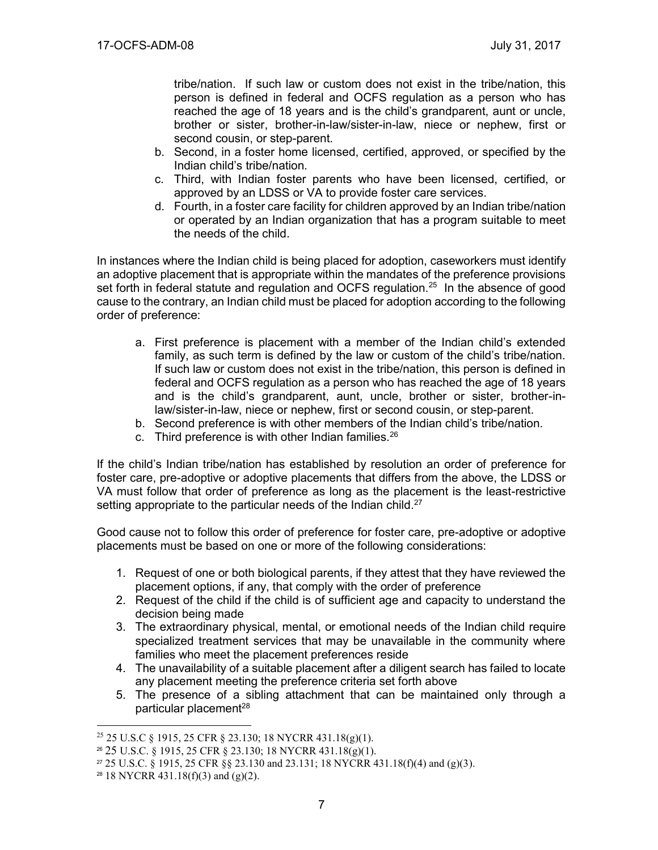tribe/nation. If such law or custom does not exist in the tribe/nation, this person is defined in federal and OCFS regulation as a person who has reached the age of 18 years and is the child's grandparent, aunt or uncle, brother or sister, brother-in-law/sister-in-law, niece or nephew, first or second cousin, or step-parent.

- b. Second, in a foster home licensed, certified, approved, or specified by the Indian child's tribe/nation.
- c. Third, with Indian foster parents who have been licensed, certified, or approved by an LDSS or VA to provide foster care services.
- d. Fourth, in a foster care facility for children approved by an Indian tribe/nation or operated by an Indian organization that has a program suitable to meet the needs of the child.

In instances where the Indian child is being placed for adoption, caseworkers must identify an adoptive placement that is appropriate within the mandates of the preference provisions set forth in federal statute and regulation and OCFS regulation.<sup>25</sup> In the absence of good cause to the contrary, an Indian child must be placed for adoption according to the following order of preference:

- a. First preference is placement with a member of the Indian child's extended family, as such term is defined by the law or custom of the child's tribe/nation. If such law or custom does not exist in the tribe/nation, this person is defined in federal and OCFS regulation as a person who has reached the age of 18 years and is the child's grandparent, aunt, uncle, brother or sister, brother-inlaw/sister-in-law, niece or nephew, first or second cousin, or step-parent.
- b. Second preference is with other members of the Indian child's tribe/nation.
- c. Third preference is with other Indian families. $26$

If the child's Indian tribe/nation has established by resolution an order of preference for foster care, pre-adoptive or adoptive placements that differs from the above, the LDSS or VA must follow that order of preference as long as the placement is the least-restrictive setting appropriate to the particular needs of the Indian child.<sup>27</sup>

Good cause not to follow this order of preference for foster care, pre-adoptive or adoptive placements must be based on one or more of the following considerations:

- 1. Request of one or both biological parents, if they attest that they have reviewed the placement options, if any, that comply with the order of preference
- 2. Request of the child if the child is of sufficient age and capacity to understand the decision being made
- 3. The extraordinary physical, mental, or emotional needs of the Indian child require specialized treatment services that may be unavailable in the community where families who meet the placement preferences reside
- 4. The unavailability of a suitable placement after a diligent search has failed to locate any placement meeting the preference criteria set forth above
- 5. The presence of a sibling attachment that can be maintained only through a particular placement<sup>28</sup>

 $\overline{a}$ <sup>25</sup> 25 U.S.C § 1915, 25 CFR § 23.130; 18 NYCRR 431.18(g)(1).

<sup>26</sup> 25 U.S.C. § 1915, 25 CFR § 23.130; 18 NYCRR 431.18(g)(1).

<sup>&</sup>lt;sup>27</sup> 25 U.S.C. § 1915, 25 CFR §§ 23.130 and 23.131; 18 NYCRR 431.18(f)(4) and (g)(3).

<sup>&</sup>lt;sup>28</sup> 18 NYCRR 431.18(f)(3) and (g)(2).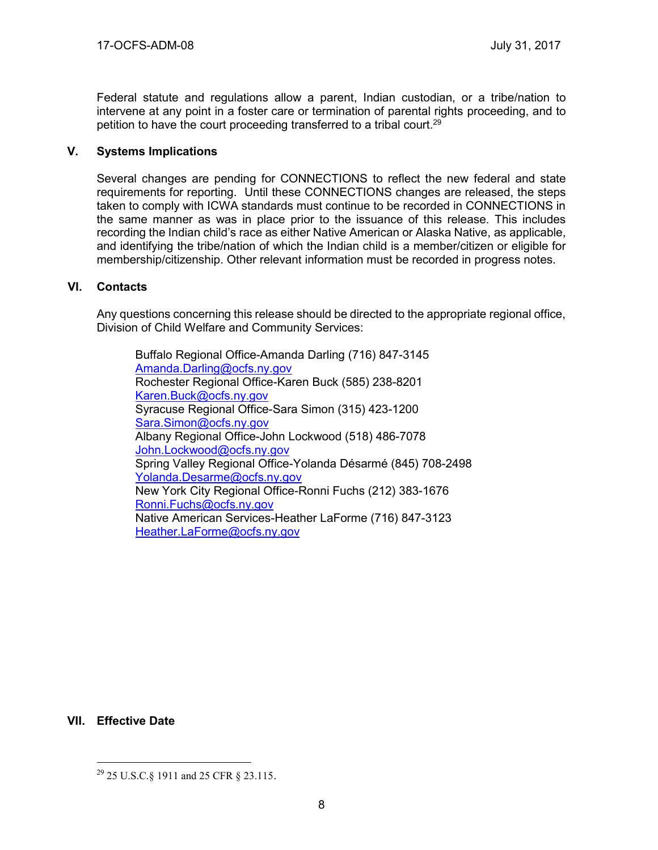Federal statute and regulations allow a parent, Indian custodian, or a tribe/nation to intervene at any point in a foster care or termination of parental rights proceeding, and to petition to have the court proceeding transferred to a tribal court.<sup>29</sup>

### **V. Systems Implications**

Several changes are pending for CONNECTIONS to reflect the new federal and state requirements for reporting. Until these CONNECTIONS changes are released, the steps taken to comply with ICWA standards must continue to be recorded in CONNECTIONS in the same manner as was in place prior to the issuance of this release. This includes recording the Indian child's race as either Native American or Alaska Native, as applicable, and identifying the tribe/nation of which the Indian child is a member/citizen or eligible for membership/citizenship. Other relevant information must be recorded in progress notes.

#### **VI. Contacts**

Any questions concerning this release should be directed to the appropriate regional office, Division of Child Welfare and Community Services:

Buffalo Regional Office-Amanda Darling (716) 847-3145 [Amanda.Darling@ocfs.ny.gov](mailto:Amanda.Darling@ocfs.ny.gov)  Rochester Regional Office-Karen Buck (585) 238-8201 [Karen.Buck@ocfs.ny.gov](mailto:Karen.Buck@ocfs.ny.gov)  Syracuse Regional Office-Sara Simon (315) 423-1200 [Sara.Simon@ocfs.ny.gov](mailto:Sara.Simon@ocfs.ny.gov) Albany Regional Office-John Lockwood (518) 486-7078 [John.Lockwood@ocfs.ny.gov](mailto:John.Lockwood@ocfs.ny.gov)  Spring Valley Regional Office-Yolanda Désarmé (845) 708-2498 [Yolanda.Desarme@ocfs.ny.gov](mailto:Yolanda.Desarme@ocfs.ny.gov)  New York City Regional Office-Ronni Fuchs (212) 383-1676 [Ronni.Fuchs@ocfs.ny.gov](mailto:Ronni.Fuchs@ocfs.ny.gov)  Native American Services-Heather LaForme (716) 847-3123 [Heather.LaForme@ocfs.ny.gov](mailto:Heather.LaForme@ocfs.ny.gov)

#### **VII. Effective Date**

<sup>29</sup> 25 U.S.C.§ 1911 and 25 CFR § 23.115.